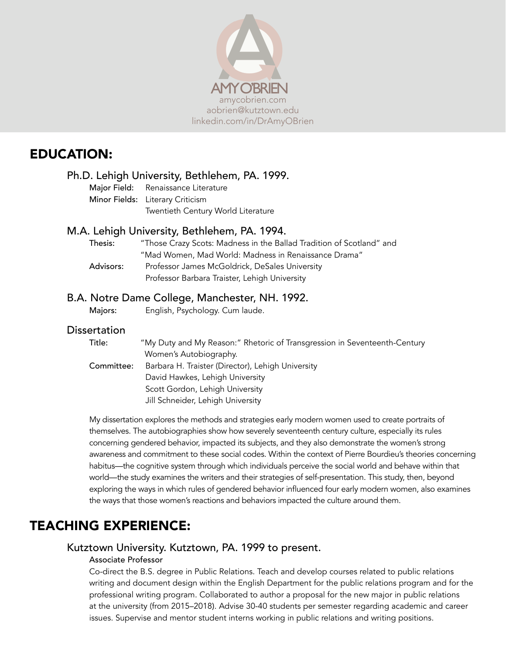

# EDUCATION:

# Ph.D. Lehigh University, Bethlehem, PA. 1999.

Major Field: Renaissance Literature Minor Fields: Literary Criticism Twentieth Century World Literature

# M.A. Lehigh University, Bethlehem, PA. 1994.

| Thesis:   | "Those Crazy Scots: Madness in the Ballad Tradition of Scotland" and |
|-----------|----------------------------------------------------------------------|
|           | "Mad Women, Mad World: Madness in Renaissance Drama"                 |
| Advisors: | Professor James McGoldrick, DeSales University                       |
|           | Professor Barbara Traister, Lehigh University                        |

# B.A. Notre Dame College, Manchester, NH. 1992.

Majors: English, Psychology. Cum laude.

# **Dissertation**

| Title:     | "My Duty and My Reason:" Rhetoric of Transgression in Seventeenth-Century |
|------------|---------------------------------------------------------------------------|
|            | Women's Autobiography.                                                    |
| Committee: | Barbara H. Traister (Director), Lehigh University                         |
|            | David Hawkes, Lehigh University                                           |
|            | Scott Gordon, Lehigh University                                           |
|            | Jill Schneider, Lehigh University                                         |
|            |                                                                           |

My dissertation explores the methods and strategies early modern women used to create portraits of themselves. The autobiographies show how severely seventeenth century culture, especially its rules concerning gendered behavior, impacted its subjects, and they also demonstrate the women's strong awareness and commitment to these social codes. Within the context of Pierre Bourdieu's theories concerning habitus—the cognitive system through which individuals perceive the social world and behave within that world—the study examines the writers and their strategies of self-presentation. This study, then, beyond exploring the ways in which rules of gendered behavior influenced four early modern women, also examines the ways that those women's reactions and behaviors impacted the culture around them.

# TEACHING EXPERIENCE:

# Kutztown University. Kutztown, PA. 1999 to present.

### Associate Professor

Co-direct the B.S. degree in Public Relations. Teach and develop courses related to public relations writing and document design within the English Department for the public relations program and for the professional writing program. Collaborated to author a proposal for the new major in public relations at the university (from 2015–2018). Advise 30-40 students per semester regarding academic and career issues. Supervise and mentor student interns working in public relations and writing positions.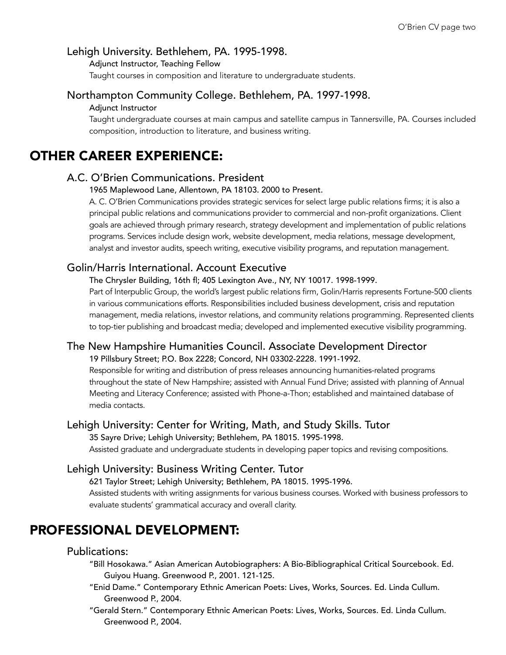# Lehigh University. Bethlehem, PA. 1995-1998.

Adjunct Instructor, Teaching Fellow

Taught courses in composition and literature to undergraduate students.

### Northampton Community College. Bethlehem, PA. 1997-1998.

#### Adjunct Instructor

Taught undergraduate courses at main campus and satellite campus in Tannersville, PA. Courses included composition, introduction to literature, and business writing.

# OTHER CAREER EXPERIENCE:

#### A.C. O'Brien Communications. President

1965 Maplewood Lane, Allentown, PA 18103. 2000 to Present.

A. C. O'Brien Communications provides strategic services for select large public relations firms; it is also a principal public relations and communications provider to commercial and non-profit organizations. Client goals are achieved through primary research, strategy development and implementation of public relations programs. Services include design work, website development, media relations, message development, analyst and investor audits, speech writing, executive visibility programs, and reputation management.

## Golin/Harris International. Account Executive

The Chrysler Building, 16th fl; 405 Lexington Ave., NY, NY 10017. 1998-1999.

Part of Interpublic Group, the world's largest public relations firm, Golin/Harris represents Fortune-500 clients in various communications efforts. Responsibilities included business development, crisis and reputation management, media relations, investor relations, and community relations programming. Represented clients to top-tier publishing and broadcast media; developed and implemented executive visibility programming.

# The New Hampshire Humanities Council. Associate Development Director

19 Pillsbury Street; P.O. Box 2228; Concord, NH 03302-2228. 1991-1992.

Responsible for writing and distribution of press releases announcing humanities-related programs throughout the state of New Hampshire; assisted with Annual Fund Drive; assisted with planning of Annual Meeting and Literacy Conference; assisted with Phone-a-Thon; established and maintained database of media contacts.

### Lehigh University: Center for Writing, Math, and Study Skills. Tutor

35 Sayre Drive; Lehigh University; Bethlehem, PA 18015. 1995-1998.

Assisted graduate and undergraduate students in developing paper topics and revising compositions.

### Lehigh University: Business Writing Center. Tutor

621 Taylor Street; Lehigh University; Bethlehem, PA 18015. 1995-1996.

Assisted students with writing assignments for various business courses. Worked with business professors to evaluate students' grammatical accuracy and overall clarity.

# PROFESSIONAL DEVELOPMENT:

# Publications:

- "Bill Hosokawa." Asian American Autobiographers: A Bio-Bibliographical Critical Sourcebook. Ed. Guiyou Huang. Greenwood P., 2001. 121-125.
- "Enid Dame." Contemporary Ethnic American Poets: Lives, Works, Sources. Ed. Linda Cullum. Greenwood P., 2004.
- "Gerald Stern." Contemporary Ethnic American Poets: Lives, Works, Sources. Ed. Linda Cullum. Greenwood P., 2004.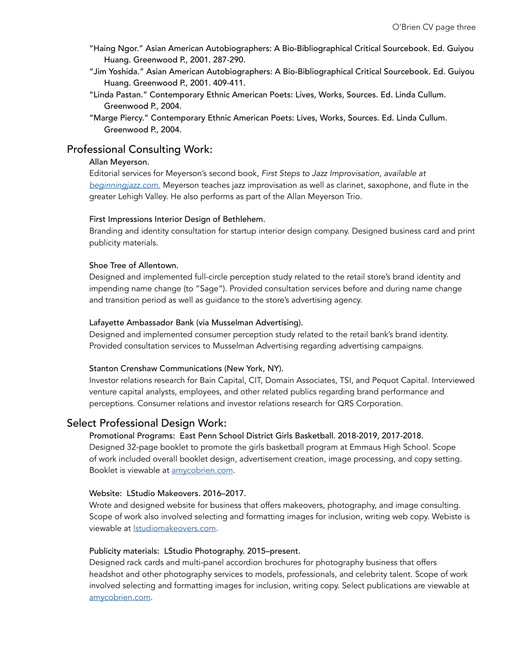- "Haing Ngor." Asian American Autobiographers: A Bio-Bibliographical Critical Sourcebook. Ed. Guiyou Huang. Greenwood P., 2001. 287-290.
- "Jim Yoshida." Asian American Autobiographers: A Bio-Bibliographical Critical Sourcebook. Ed. Guiyou Huang. Greenwood P., 2001. 409-411.
- "Linda Pastan." Contemporary Ethnic American Poets: Lives, Works, Sources. Ed. Linda Cullum. Greenwood P., 2004.
- "Marge Piercy." Contemporary Ethnic American Poets: Lives, Works, Sources. Ed. Linda Cullum. Greenwood P., 2004.

# Professional Consulting Work:

#### Allan Meyerson.

Editorial services for Meyerson's second book, *First Steps to Jazz Improvisation, available at [beginningjazz.com.](http://beginningjazz.com/jazz/index.html)* Meyerson teaches jazz improvisation as well as clarinet, saxophone, and flute in the greater Lehigh Valley. He also performs as part of the Allan Meyerson Trio.

#### First Impressions Interior Design of Bethlehem.

Branding and identity consultation for startup interior design company. Designed business card and print publicity materials.

#### Shoe Tree of Allentown.

Designed and implemented full-circle perception study related to the retail store's brand identity and impending name change (to "Sage"). Provided consultation services before and during name change and transition period as well as guidance to the store's advertising agency.

#### Lafayette Ambassador Bank (via Musselman Advertising).

Designed and implemented consumer perception study related to the retail bank's brand identity. Provided consultation services to Musselman Advertising regarding advertising campaigns.

#### Stanton Crenshaw Communications (New York, NY).

Investor relations research for Bain Capital, CIT, Domain Associates, TSI, and Pequot Capital. Interviewed venture capital analysts, employees, and other related publics regarding brand performance and perceptions. Consumer relations and investor relations research for QRS Corporation.

# Select Professional Design Work:

### Promotional Programs: East Penn School District Girls Basketball. 2018-2019, 2017-2018.

Designed 32-page booklet to promote the girls basketball program at Emmaus High School. Scope of work included overall booklet design, advertisement creation, image processing, and copy setting. Booklet is viewable at [amycobrien.com](http://amycobrien.com).

#### Website: LStudio Makeovers. 2016–2017.

Wrote and designed website for business that offers makeovers, photography, and image consulting. Scope of work also involved selecting and formatting images for inclusion, writing web copy. Webiste is viewable at [lstudiomakeovers.com](http://lstudiomakeovers.com).

### Publicity materials: LStudio Photography. 2015–present.

Designed rack cards and multi-panel accordion brochures for photography business that offers headshot and other photography services to models, professionals, and celebrity talent. Scope of work involved selecting and formatting images for inclusion, writing copy. Select publications are viewable at [amycobrien.com](http://amycobrien.com).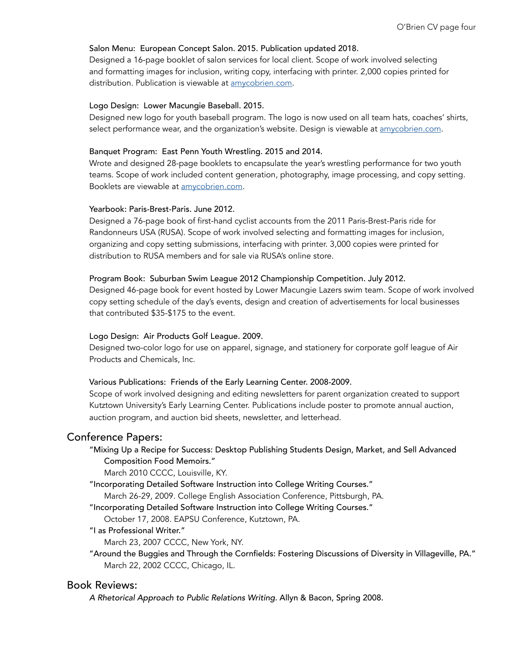#### Salon Menu: European Concept Salon. 2015. Publication updated 2018.

Designed a 16-page booklet of salon services for local client. Scope of work involved selecting and formatting images for inclusion, writing copy, interfacing with printer. 2,000 copies printed for distribution. Publication is viewable at [amycobrien.com.](http://amycobrien.com)

#### Logo Design: Lower Macungie Baseball. 2015.

Designed new logo for youth baseball program. The logo is now used on all team hats, coaches' shirts, select performance wear, and the organization's website. Design is viewable at [amycobrien.com.](http://amycobrien.com)

#### Banquet Program: East Penn Youth Wrestling. 2015 and 2014.

Wrote and designed 28-page booklets to encapsulate the year's wrestling performance for two youth teams. Scope of work included content generation, photography, image processing, and copy setting. Booklets are viewable at [amycobrien.com.](http://amycobrien.com)

#### Yearbook: Paris-Brest-Paris. June 2012.

Designed a 76-page book of first-hand cyclist accounts from the 2011 Paris-Brest-Paris ride for Randonneurs USA (RUSA). Scope of work involved selecting and formatting images for inclusion, organizing and copy setting submissions, interfacing with printer. 3,000 copies were printed for distribution to RUSA members and for sale via RUSA's online store.

#### Program Book: Suburban Swim League 2012 Championship Competition. July 2012.

Designed 46-page book for event hosted by Lower Macungie Lazers swim team. Scope of work involved copy setting schedule of the day's events, design and creation of advertisements for local businesses that contributed \$35-\$175 to the event.

#### Logo Design: Air Products Golf League. 2009.

Designed two-color logo for use on apparel, signage, and stationery for corporate golf league of Air Products and Chemicals, Inc.

#### Various Publications: Friends of the Early Learning Center. 2008-2009.

Scope of work involved designing and editing newsletters for parent organization created to support Kutztown University's Early Learning Center. Publications include poster to promote annual auction, auction program, and auction bid sheets, newsletter, and letterhead.

#### Conference Papers:

#### "Mixing Up a Recipe for Success: Desktop Publishing Students Design, Market, and Sell Advanced Composition Food Memoirs."

March 2010 CCCC, Louisville, KY.

"Incorporating Detailed Software Instruction into College Writing Courses."

March 26-29, 2009. College English Association Conference, Pittsburgh, PA.

"Incorporating Detailed Software Instruction into College Writing Courses."

October 17, 2008. EAPSU Conference, Kutztown, PA.

"I as Professional Writer."

March 23, 2007 CCCC, New York, NY.

"Around the Buggies and Through the Cornfields: Fostering Discussions of Diversity in Villageville, PA." March 22, 2002 CCCC, Chicago, IL.

# Book Reviews:

*A Rhetorical Approach to Public Relations Writing.* Allyn & Bacon, Spring 2008.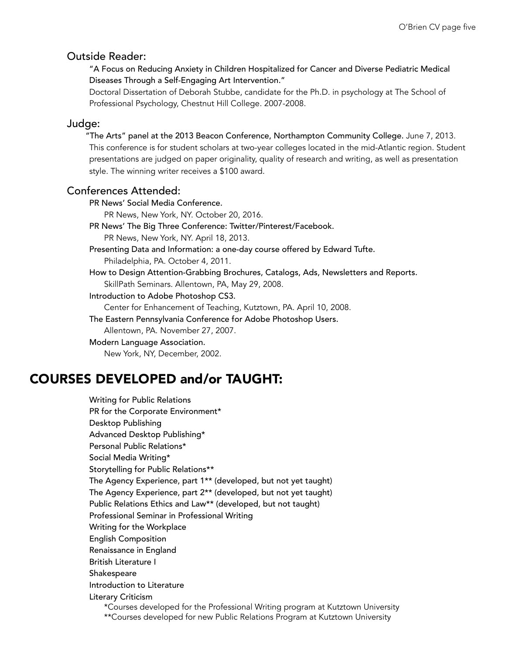### Outside Reader:

"A Focus on Reducing Anxiety in Children Hospitalized for Cancer and Diverse Pediatric Medical Diseases Through a Self-Engaging Art Intervention."

Doctoral Dissertation of Deborah Stubbe, candidate for the Ph.D. in psychology at The School of Professional Psychology, Chestnut Hill College. 2007-2008.

#### Judge:

"The Arts" panel at the 2013 Beacon Conference, Northampton Community College. June 7, 2013. This conference is for student scholars at two-year colleges located in the mid-Atlantic region. Student presentations are judged on paper originality, quality of research and writing, as well as presentation style. The winning writer receives a \$100 award.

#### Conferences Attended:

PR News' Social Media Conference. PR News, New York, NY. October 20, 2016. PR News' The Big Three Conference: Twitter/Pinterest/Facebook. PR News, New York, NY. April 18, 2013. Presenting Data and Information: a one-day course offered by Edward Tufte. Philadelphia, PA. October 4, 2011. How to Design Attention-Grabbing Brochures, Catalogs, Ads, Newsletters and Reports. SkillPath Seminars. Allentown, PA, May 29, 2008. Introduction to Adobe Photoshop CS3. Center for Enhancement of Teaching, Kutztown, PA. April 10, 2008. The Eastern Pennsylvania Conference for Adobe Photoshop Users. Allentown, PA. November 27, 2007. Modern Language Association. New York, NY, December, 2002.

# COURSES DEVELOPED and/or TAUGHT:

Writing for Public Relations PR for the Corporate Environment\* Desktop Publishing Advanced Desktop Publishing\* Personal Public Relations\* Social Media Writing\* Storytelling for Public Relations\*\* The Agency Experience, part 1\*\* (developed, but not yet taught) The Agency Experience, part 2\*\* (developed, but not yet taught) Public Relations Ethics and Law\*\* (developed, but not taught) Professional Seminar in Professional Writing Writing for the Workplace English Composition Renaissance in England British Literature I Shakespeare Introduction to Literature Literary Criticism \*Courses developed for the Professional Writing program at Kutztown University \*\*Courses developed for new Public Relations Program at Kutztown University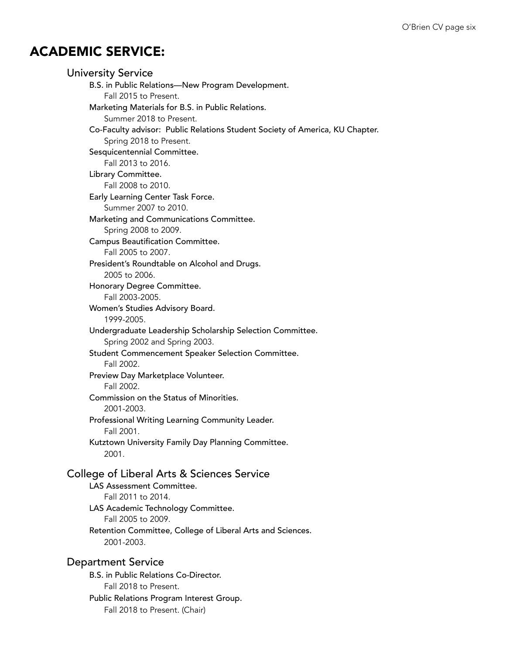# ACADEMIC SERVICE:

| University Service |                                                                                           |
|--------------------|-------------------------------------------------------------------------------------------|
|                    | B.S. in Public Relations-New Program Development.                                         |
|                    | Fall 2015 to Present.                                                                     |
|                    | Marketing Materials for B.S. in Public Relations.                                         |
|                    | Summer 2018 to Present.                                                                   |
|                    | Co-Faculty advisor: Public Relations Student Society of America, KU Chapter.              |
|                    | Spring 2018 to Present.                                                                   |
|                    | Sesquicentennial Committee.                                                               |
|                    | Fall 2013 to 2016.                                                                        |
|                    | Library Committee.                                                                        |
|                    | Fall 2008 to 2010.                                                                        |
|                    | Early Learning Center Task Force.<br>Summer 2007 to 2010.                                 |
|                    | Marketing and Communications Committee.                                                   |
|                    | Spring 2008 to 2009.                                                                      |
|                    | Campus Beautification Committee.                                                          |
|                    | Fall 2005 to 2007.                                                                        |
|                    | President's Roundtable on Alcohol and Drugs.                                              |
|                    | 2005 to 2006.                                                                             |
|                    | Honorary Degree Committee.                                                                |
|                    | Fall 2003-2005.                                                                           |
|                    | Women's Studies Advisory Board.<br>1999-2005.                                             |
|                    | Undergraduate Leadership Scholarship Selection Committee.<br>Spring 2002 and Spring 2003. |
| Fall 2002.         | Student Commencement Speaker Selection Committee.                                         |
| Fall 2002.         | Preview Day Marketplace Volunteer.                                                        |
|                    | Commission on the Status of Minorities.<br>2001-2003.                                     |
| Fall 2001.         | Professional Writing Learning Community Leader.                                           |
| 2001.              | Kutztown University Family Day Planning Committee.                                        |
|                    | College of Liberal Arts & Sciences Service                                                |
|                    | <b>LAS Assessment Committee.</b><br>Fall 2011 to 2014.                                    |
|                    | LAS Academic Technology Committee.<br>Fall 2005 to 2009.                                  |
|                    | Retention Committee, College of Liberal Arts and Sciences.<br>2001-2003.                  |
| Department Service |                                                                                           |
|                    | B.S. in Public Relations Co-Director.                                                     |

Fall 2018 to Present. Public Relations Program Interest Group.

Fall 2018 to Present. (Chair)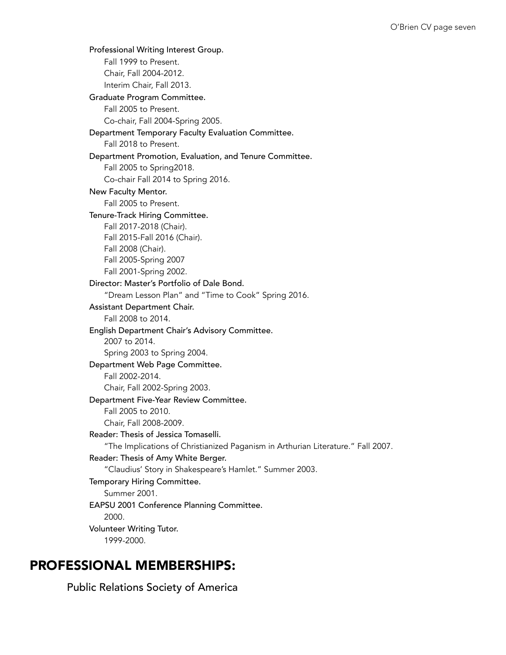Professional Writing Interest Group. Fall 1999 to Present. Chair, Fall 2004-2012. Interim Chair, Fall 2013. Graduate Program Committee. Fall 2005 to Present. Co-chair, Fall 2004-Spring 2005. Department Temporary Faculty Evaluation Committee. Fall 2018 to Present. Department Promotion, Evaluation, and Tenure Committee. Fall 2005 to Spring2018. Co-chair Fall 2014 to Spring 2016. New Faculty Mentor. Fall 2005 to Present. Tenure-Track Hiring Committee. Fall 2017-2018 (Chair). Fall 2015-Fall 2016 (Chair). Fall 2008 (Chair). Fall 2005-Spring 2007 Fall 2001-Spring 2002. Director: Master's Portfolio of Dale Bond. "Dream Lesson Plan" and "Time to Cook" Spring 2016. Assistant Department Chair. Fall 2008 to 2014. English Department Chair's Advisory Committee. 2007 to 2014. Spring 2003 to Spring 2004. Department Web Page Committee. Fall 2002-2014. Chair, Fall 2002-Spring 2003. Department Five-Year Review Committee. Fall 2005 to 2010. Chair, Fall 2008-2009. Reader: Thesis of Jessica Tomaselli. "The Implications of Christianized Paganism in Arthurian Literature." Fall 2007. Reader: Thesis of Amy White Berger. "Claudius' Story in Shakespeare's Hamlet." Summer 2003. Temporary Hiring Committee. Summer 2001. EAPSU 2001 Conference Planning Committee. 2000. Volunteer Writing Tutor. 1999-2000.

# PROFESSIONAL MEMBERSHIPS:

Public Relations Society of America